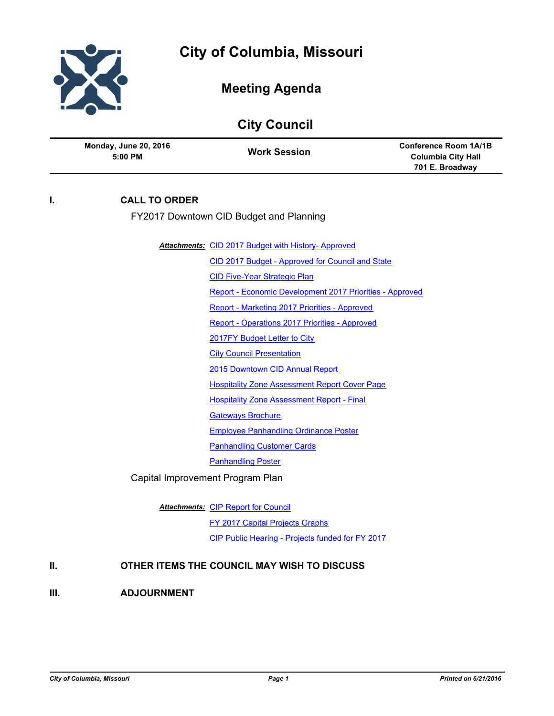

# **Meeting Agenda**

| <b>City Council</b> |                                         |                                                            |                                                                              |
|---------------------|-----------------------------------------|------------------------------------------------------------|------------------------------------------------------------------------------|
|                     | <b>Monday, June 20, 2016</b><br>5:00 PM | <b>Work Session</b>                                        | <b>Conference Room 1A/1B</b><br><b>Columbia City Hall</b><br>701 E. Broadway |
| l.                  | <b>CALL TO ORDER</b>                    |                                                            |                                                                              |
|                     |                                         | FY2017 Downtown CID Budget and Planning                    |                                                                              |
|                     |                                         | <b>Attachments: CID 2017 Budget with History- Approved</b> |                                                                              |
|                     |                                         | CID 2017 Budget - Approved for Council and State           |                                                                              |
|                     |                                         | <b>CID Five-Year Strategic Plan</b>                        |                                                                              |
|                     |                                         | Report - Economic Development 2017 Priorities - Approved   |                                                                              |
|                     |                                         | Report - Marketing 2017 Priorities - Approved              |                                                                              |
|                     |                                         | Report - Operations 2017 Priorities - Approved             |                                                                              |
|                     |                                         | 2017FY Budget Letter to City                               |                                                                              |
|                     |                                         | <b>City Council Presentation</b>                           |                                                                              |
|                     |                                         | 2015 Downtown CID Annual Report                            |                                                                              |
|                     |                                         | <b>Hospitality Zone Assessment Report Cover Page</b>       |                                                                              |
|                     |                                         | <b>Hospitality Zone Assessment Report - Final</b>          |                                                                              |
|                     |                                         | <b>Gateways Brochure</b>                                   |                                                                              |
|                     |                                         | <b>Employee Panhandling Ordinance Poster</b>               |                                                                              |
|                     |                                         | <b>Panhandling Customer Cards</b>                          |                                                                              |
|                     |                                         | <b>Panhandling Poster</b>                                  |                                                                              |
|                     |                                         | Capital Improvement Program Plan                           |                                                                              |
|                     |                                         | <b>Attachments: CIP Report for Council</b>                 |                                                                              |
|                     |                                         | FY 2017 Capital Projects Graphs                            |                                                                              |
|                     |                                         | CIP Public Hearing - Projects funded for FY 2017           |                                                                              |

## **II. OTHER ITEMS THE COUNCIL MAY WISH TO DISCUSS**

### **III. ADJOURNMENT**